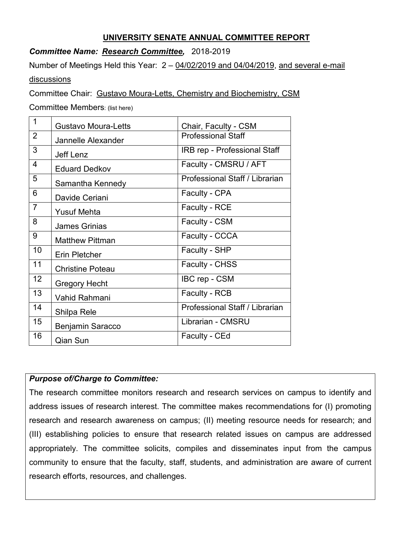## **UNIVERSITY SENATE ANNUAL COMMITTEE REPORT**

## *Committee Name: Research Committee,* 2018-2019

Number of Meetings Held this Year:  $2 - \frac{04}{02}{2019}$  and 04/04/2019, and several e-mail discussions

Committee Chair: Gustavo Moura-Letts, Chemistry and Biochemistry, CSM

Committee Members: (list here)

| 1               | <b>Gustavo Moura-Letts</b> | Chair, Faculty - CSM           |
|-----------------|----------------------------|--------------------------------|
| $\overline{2}$  | Jannelle Alexander         | <b>Professional Staff</b>      |
| 3               | Jeff Lenz                  | IRB rep - Professional Staff   |
| $\overline{4}$  | <b>Eduard Dedkov</b>       | Faculty - CMSRU / AFT          |
| 5               | Samantha Kennedy           | Professional Staff / Librarian |
| 6               | Davide Ceriani             | Faculty - CPA                  |
| $\overline{7}$  | <b>Yusuf Mehta</b>         | <b>Faculty - RCE</b>           |
| 8               | <b>James Grinias</b>       | Faculty - CSM                  |
| 9               | <b>Matthew Pittman</b>     | Faculty - CCCA                 |
| 10              | Erin Pletcher              | Faculty - SHP                  |
| 11              | <b>Christine Poteau</b>    | Faculty - CHSS                 |
| 12 <sub>2</sub> | <b>Gregory Hecht</b>       | IBC rep - CSM                  |
| 13              | Vahid Rahmani              | Faculty - RCB                  |
| 14              | Shilpa Rele                | Professional Staff / Librarian |
| 15              | <b>Benjamin Saracco</b>    | Librarian - CMSRU              |
| 16              | Qian Sun                   | Faculty - CEd                  |

## *Purpose of/Charge to Committee:*

The research committee monitors research and research services on campus to identify and address issues of research interest. The committee makes recommendations for (I) promoting research and research awareness on campus; (II) meeting resource needs for research; and (III) establishing policies to ensure that research related issues on campus are addressed appropriately. The committee solicits, compiles and disseminates input from the campus community to ensure that the faculty, staff, students, and administration are aware of current research efforts, resources, and challenges.